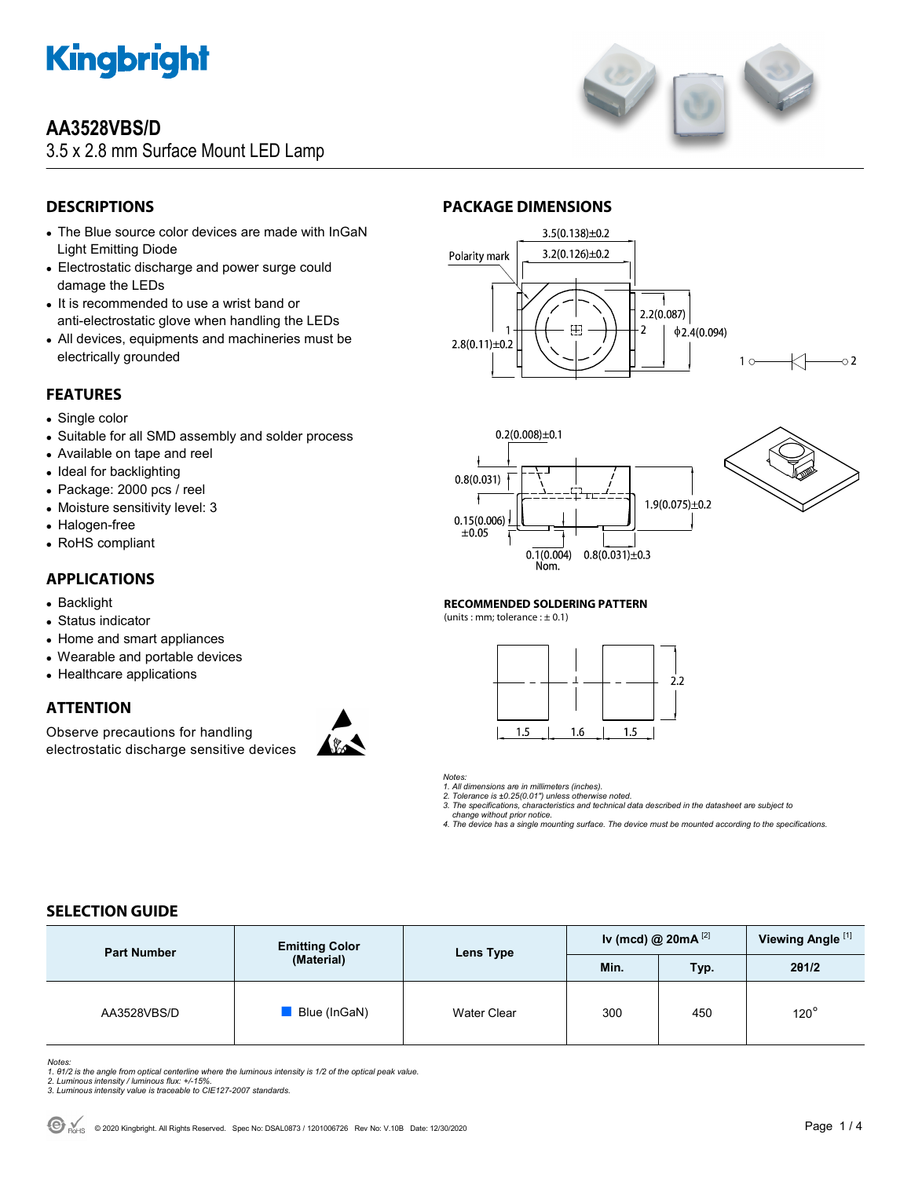

# **AA3528VBS/D**

3.5 x 2.8 mm Surface Mount LED Lamp



## **DESCRIPTIONS**

- The Blue source color devices are made with InGaN Light Emitting Diode
- Electrostatic discharge and power surge could damage the LEDs
- It is recommended to use a wrist band or anti-electrostatic glove when handling the LEDs
- All devices, equipments and machineries must be electrically grounded

## **FEATURES**

- Single color
- Suitable for all SMD assembly and solder process
- Available on tape and reel
- Ideal for backlighting
- Package: 2000 pcs / reel
- Moisture sensitivity level: 3
- Halogen-free
- RoHS compliant

### **APPLICATIONS**

- Backlight
- Status indicator
- Home and smart appliances
- Wearable and portable devices
- Healthcare applications

## **ATTENTION**

Observe precautions for handling electrostatic discharge sensitive devices



## **PACKAGE DIMENSIONS**







#### **RECOMMENDED SOLDERING PATTERN**

(units : mm; tolerance :  $\pm$  0.1)



### *Notes:*

*1. All dimensions are in millimeters (inches).* 

*2. Tolerance is ±0.25(0.01") unless otherwise noted. 3. The specifications, characteristics and technical data described in the datasheet are subject to* 

 *change without prior notice.* 

*4. The device has a single mounting surface. The device must be mounted according to the specifications.* 

## **SELECTION GUIDE**

| <b>Part Number</b> | <b>Emitting Color</b><br>(Material) | Lens Type   | Iv (mcd) @ $20mA^{[2]}$ |      | Viewing Angle <sup>[1]</sup> |
|--------------------|-------------------------------------|-------------|-------------------------|------|------------------------------|
|                    |                                     |             | Min.                    | Typ. | 201/2                        |
| AA3528VBS/D        | Blue (InGaN)                        | Water Clear | 300                     | 450  | $120^\circ$                  |

Notes:<br>1. 81/2 is the angle from optical centerline where the luminous intensity is 1/2 of the optical peak value.<br>2. Luminous intensity / luminous flux: +/-15%.<br>3. Luminous intensity value is traceable to CIE127-2007 stan

- 
-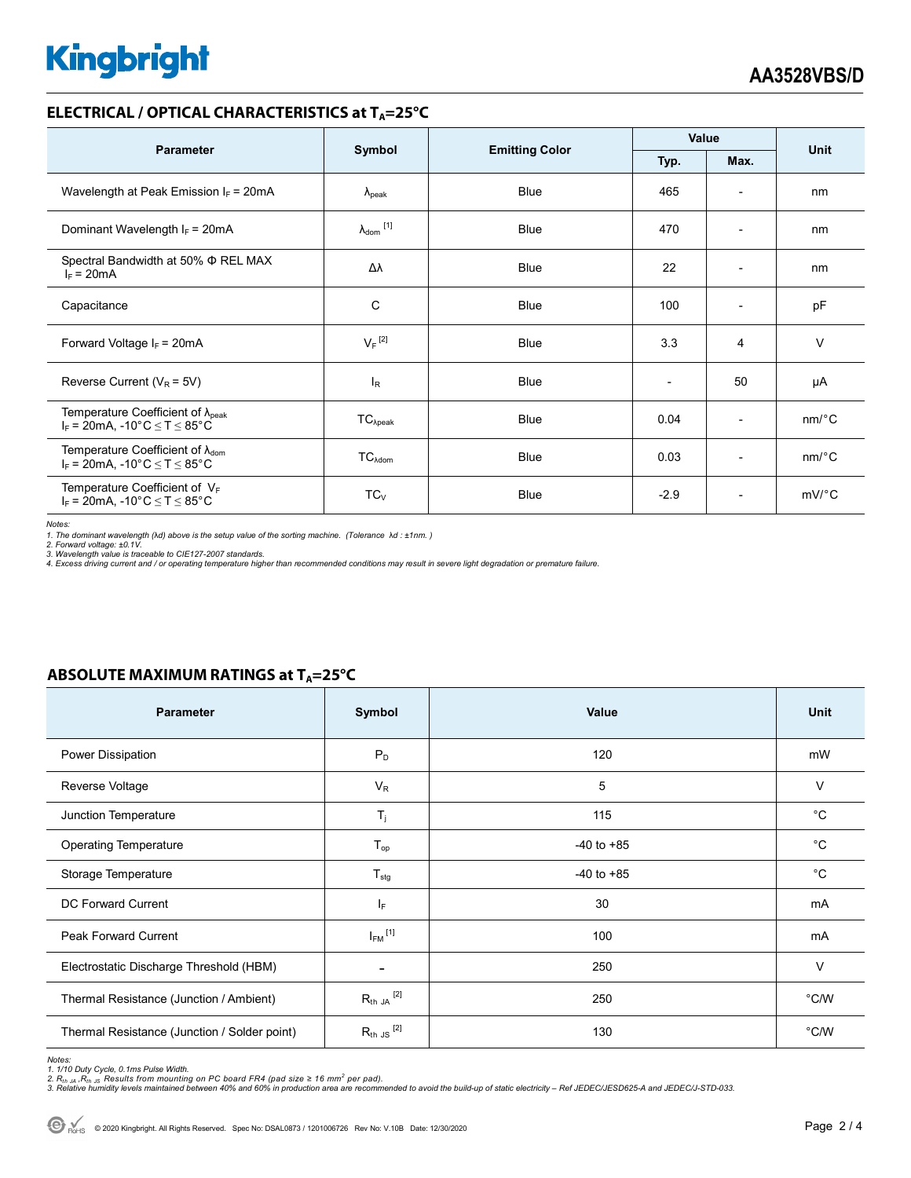# **Kingbright**

### **ELECTRICAL / OPTICAL CHARACTERISTICS at T<sub>A</sub>=25°C**

| <b>Parameter</b>                                                                                                                |                            |                       | Value        |                          | <b>Unit</b>           |
|---------------------------------------------------------------------------------------------------------------------------------|----------------------------|-----------------------|--------------|--------------------------|-----------------------|
|                                                                                                                                 | Symbol                     | <b>Emitting Color</b> | Max.<br>Typ. |                          |                       |
| Wavelength at Peak Emission $I_F$ = 20mA                                                                                        | $\lambda_{\rm peak}$       | Blue                  | 465          | $\overline{\phantom{a}}$ | nm                    |
| Dominant Wavelength $I_F = 20mA$                                                                                                | $\lambda_{\text{dom}}$ [1] | Blue                  | 470          | $\overline{\phantom{0}}$ | nm                    |
| Spectral Bandwidth at 50% $\Phi$ REL MAX<br>$I_F = 20mA$                                                                        | Δλ                         | Blue                  | 22           | $\overline{\phantom{a}}$ | nm                    |
| Capacitance                                                                                                                     | С                          | <b>Blue</b>           | 100          | $\overline{\phantom{a}}$ | pF                    |
| Forward Voltage $I_F = 20mA$                                                                                                    | $V_F$ <sup>[2]</sup>       | <b>Blue</b>           | 3.3          | 4                        | $\vee$                |
| Reverse Current ( $V_R$ = 5V)                                                                                                   | l <sub>R</sub>             | <b>Blue</b>           |              | 50                       | μA                    |
| Temperature Coefficient of $\lambda_{peak}$<br>$I_F = 20mA$ , -10°C $\le T \le 85$ °C                                           | $TC_{\lambda peak}$        | <b>Blue</b>           | 0.04         | $\overline{\phantom{a}}$ | $nm$ <sup>o</sup> $C$ |
| Temperature Coefficient of $\lambda_{\text{dom}}$<br>$I_F = 20 \text{mA}, -10^{\circ} \text{C} \leq T \leq 85^{\circ} \text{C}$ | $TC_{\text{Adom}}$         | <b>Blue</b>           | 0.03         | $\overline{\phantom{a}}$ | $nm$ <sup>o</sup> $C$ |
| Temperature Coefficient of $V_F$<br>$I_F$ = 20mA, -10°C $\leq T \leq 85$ °C                                                     | $TC_{V}$                   | <b>Blue</b>           | $-2.9$       | $\overline{\phantom{a}}$ | $mV$ °C               |

*Notes:* 

1. The dominant wavelength (λd) above is the setup value of the sorting machine. (Tolerance λd : ±1nm. )<br>2. Forward voltage: ±0.1V.<br>3. Wavelength value is traceable to CIE127-2007 standards.

*4. Excess driving current and / or operating temperature higher than recommended conditions may result in severe light degradation or premature failure.* 

### **ABSOLUTE MAXIMUM RATINGS at T<sub>A</sub>=25°C**

| <b>Parameter</b>                             | Symbol                  | Value          | <b>Unit</b>    |
|----------------------------------------------|-------------------------|----------------|----------------|
| Power Dissipation                            | $P_D$                   | 120            | mW             |
| Reverse Voltage                              | $V_R$                   | 5              | $\vee$         |
| Junction Temperature                         | $\mathsf{T}_j$          | 115            | $^{\circ}C$    |
| <b>Operating Temperature</b>                 | $T_{op}$                | $-40$ to $+85$ | $^{\circ}C$    |
| Storage Temperature                          | $T_{\text{stg}}$        | $-40$ to $+85$ | °C             |
| DC Forward Current                           | $I_F$                   | 30             | mA             |
| <b>Peak Forward Current</b>                  | $I_{FM}$ <sup>[1]</sup> | 100            | mA             |
| Electrostatic Discharge Threshold (HBM)      |                         | 250            | $\vee$         |
| Thermal Resistance (Junction / Ambient)      | $R_{th}$ JA $^{[2]}$    | 250            | $^{\circ}$ C/W |
| Thermal Resistance (Junction / Solder point) | $R_{th}$ JS $^{[2]}$    | 130            | $^{\circ}$ C/W |

*Notes:* 

1. 1/10 Duty Cycle, 0.1ms Pulse Width.<br>2. R<sub>th Ja</sub> ,R<sub>h JS</sub> Results from mounting on PC board FR4 (pad size ≥ 16 mm<sup>2</sup> per pad).<br>3. Relative humidity levels maintained between 40% and 60% in production area are recommende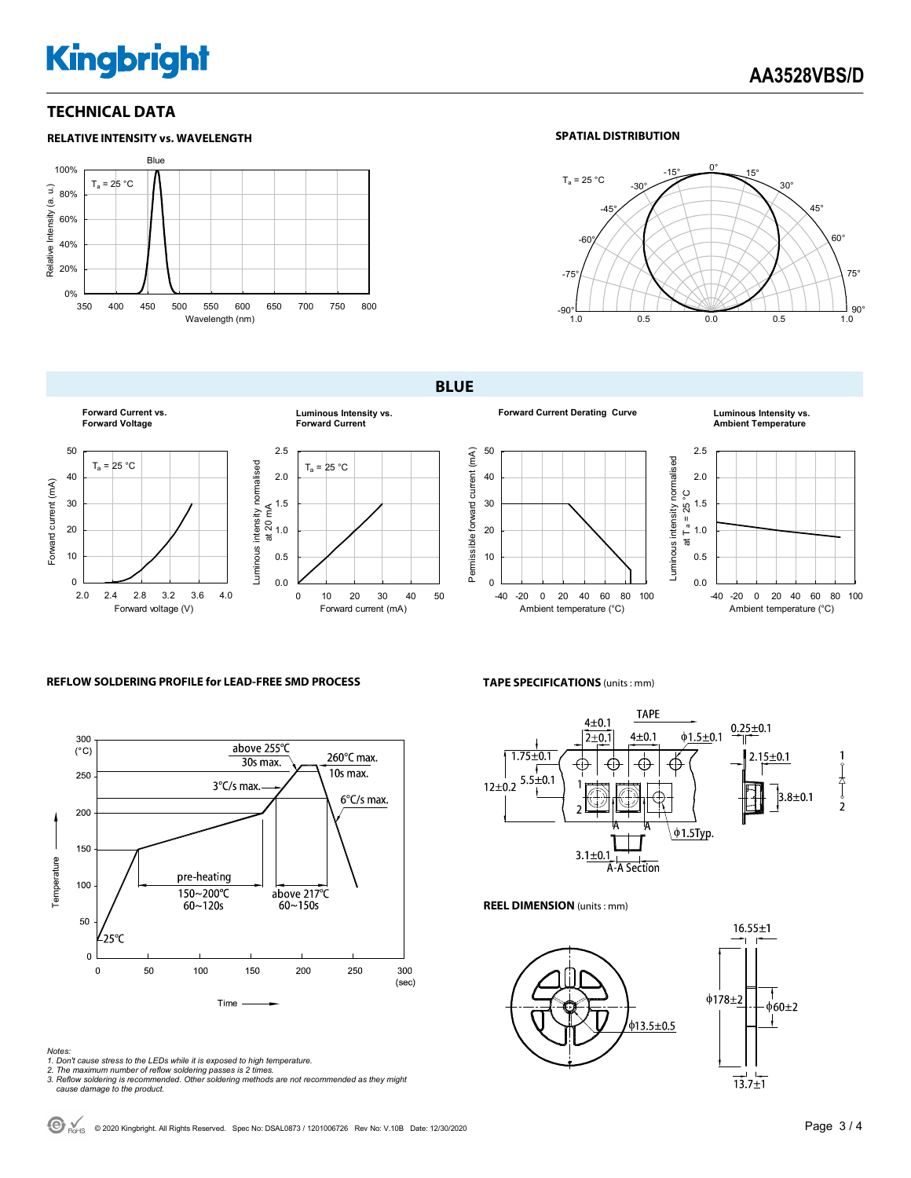# **Kingbright**

### **TECHNICAL DATA**



### **SPATIAL DISTRIBUTION**



**BLUE** 



**Forward Current Derating Curve Luminous Intensity vs.** 

**Ambient Temperature**





### **REFLOW SOLDERING PROFILE for LEAD-FREE SMD PROCESS**



*Notes:* 

- *1. Don't cause stress to the LEDs while it is exposed to high temperature.*
- 

*2. The maximum number of reflow soldering passes is 2 times. 3. Reflow soldering is recommended. Other soldering methods are not recommended as they might cause damage to the product.* 

**TAPE SPECIFICATIONS** (units : mm)



**REEL DIMENSION** (units : mm)



 $\bigodot$  R<sub>OHS</sub> © 2020 Kingbright. All Rights Reserved. Spec No: DSAL0873 / 1201006726 Rev No: V.10B Date: 12/30/2020